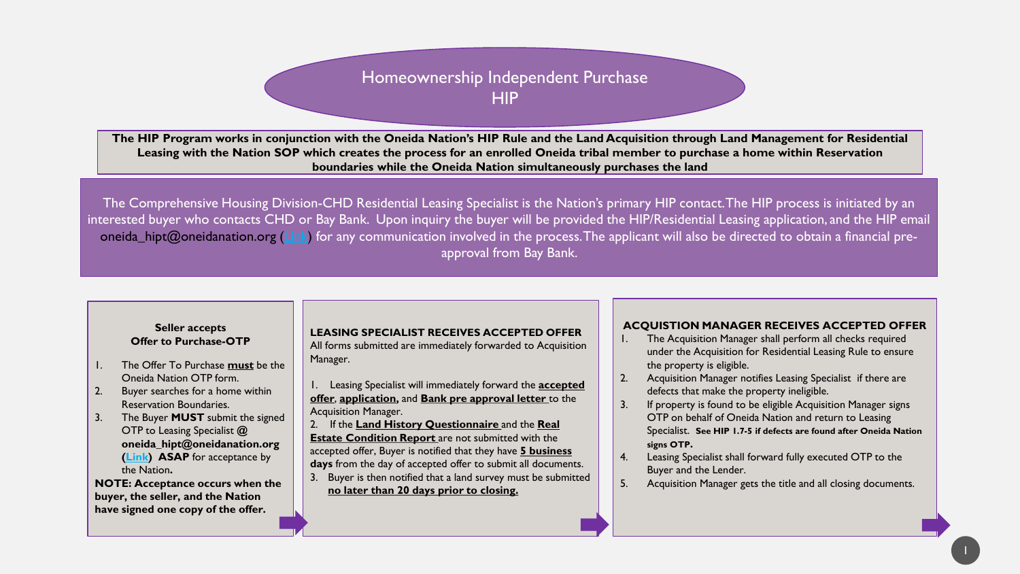# Homeownership Independent Purchase **HIP**

**The HIP Program works in conjunction with the Oneida Nation's HIP Rule and the Land Acquisition through Land Management for Residential Leasing with the Nation SOP which creates the process for an enrolled Oneida tribal member to purchase a home within Reservation boundaries while the Oneida Nation simultaneously purchases the land** 

The Comprehensive Housing Division-CHD Residential Leasing Specialist is the Nation's primary HIP contact. The HIP process is initiated by an interested buyer who contacts CHD or Bay Bank. Upon inquiry the buyer will be provided the HIP/Residential Leasing application, and the HIP email oneida hipt@oneidanation.org [\(Link](mailto:Oneida_hipt@oneidanation.org)) for any communication involved in the process. The applicant will also be directed to obtain a financial preapproval from Bay Bank.

#### **Seller accepts Offer to Purchase-OTP**

- 1. The Offer To Purchase **must** be the Oneida Nation OTP form.
- 2. Buyer searches for a home within Reservation Boundaries.
- 3. The Buyer **MUST** submit the signed OTP to Leasing Specialist **@ oneida\_hipt@oneidanation.org [\(Link\)](mailto:oneida_hipt@oneidanation.org) ASAP** for acceptance by the Nation**.**

**NOTE: Acceptance occurs when the buyer, the seller, and the Nation have signed one copy of the offer.** 

## **LEASING SPECIALIST RECEIVES ACCEPTED OFFER**

All forms submitted are immediately forwarded to Acquisition Manager.

1. Leasing Specialist will immediately forward the **accepted offer**, **application,** and **Bank pre approval letter** to the Acquisition Manager.

2. If the **Land History Questionnaire** and the **Real Estate Condition Report** are not submitted with the accepted offer, Buyer is notified that they have **5 business days** from the day of accepted offer to submit all documents.

3. Buyer is then notified that a land survey must be submitted **no later than 20 days prior to closing.** 

## **ACQUISTION MANAGER RECEIVES ACCEPTED OFFER**

- 1. The Acquisition Manager shall perform all checks required under the Acquisition for Residential Leasing Rule to ensure the property is eligible.
- 2. Acquisition Manager notifies Leasing Specialist if there are defects that make the property ineligible.
- 3. If property is found to be eligible Acquisition Manager signs OTP on behalf of Oneida Nation and return to Leasing Specialist. **See HIP 1.7-5 if defects are found after Oneida Nation signs OTP.**
- 4. Leasing Specialist shall forward fully executed OTP to the Buyer and the Lender.
- 5. Acquisition Manager gets the title and all closing documents.